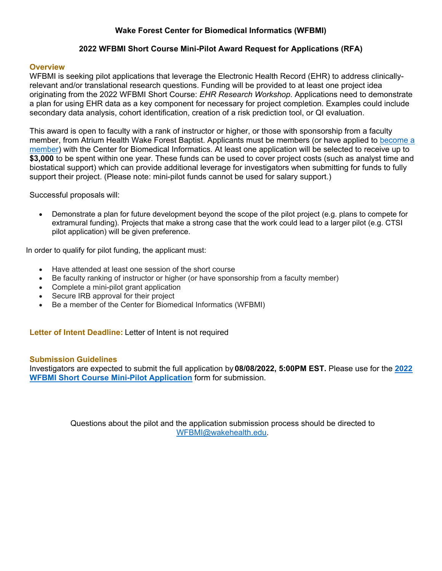# **Wake Forest Center for Biomedical Informatics (WFBMI)**

## **2022 WFBMI Short Course Mini-Pilot Award Request for Applications (RFA)**

#### **Overview**

WFBMI is seeking pilot applications that leverage the Electronic Health Record (EHR) to address clinicallyrelevant and/or translational research questions. Funding will be provided to at least one project idea originating from the 2022 WFBMI Short Course: *EHR Research Workshop*. Applications need to demonstrate a plan for using EHR data as a key component for necessary for project completion. Examples could include secondary data analysis, cohort identification, creation of a risk prediction tool, or QI evaluation.

This award is open to faculty with a rank of instructor or higher, or those with sponsorship from a faculty member, from Atrium Health Wake Forest Baptist. Applicants must be members (or have applied to [become a](https://redcap.wakehealth.edu/redcap/surveys/?s=EXTTCFKXXT)  [member\)](https://redcap.wakehealth.edu/redcap/surveys/?s=EXTTCFKXXT) with the Center for Biomedical Informatics. At least one application will be selected to receive up to **\$3,000** to be spent within one year. These funds can be used to cover project costs (such as analyst time and biostatical support) which can provide additional leverage for investigators when submitting for funds to fully support their project. (Please note: mini-pilot funds cannot be used for salary support.)

Successful proposals will:

• Demonstrate a plan for future development beyond the scope of the pilot project (e.g. plans to compete for extramural funding). Projects that make a strong case that the work could lead to a larger pilot (e.g. CTSI pilot application) will be given preference.

In order to qualify for pilot funding, the applicant must:

- Have attended at least one session of the short course
- Be faculty ranking of instructor or higher (or have sponsorship from a faculty member)
- Complete a mini-pilot grant application
- Secure IRB approval for their project
- Be a member of the Center for Biomedical Informatics (WFBMI)

**Letter of Intent Deadline:** Letter of Intent is not required

#### **Submission Guidelines**

Investigators are expected to submit the full application by **08/08/2022, 5:00PM EST.** Please use for the **[2022](https://redcap.wakehealth.edu/redcap/surveys/?s=TWAJ9TAT7A4L9LXR)  [WFBMI Short Course Mini-Pilot Application](https://redcap.wakehealth.edu/redcap/surveys/?s=TWAJ9TAT7A4L9LXR)** form for submission.

> Questions about the pilot and the application submission process should be directed to [WFBMI@wakehealth.edu.](mailto:WFBMI@wakehealth.edu)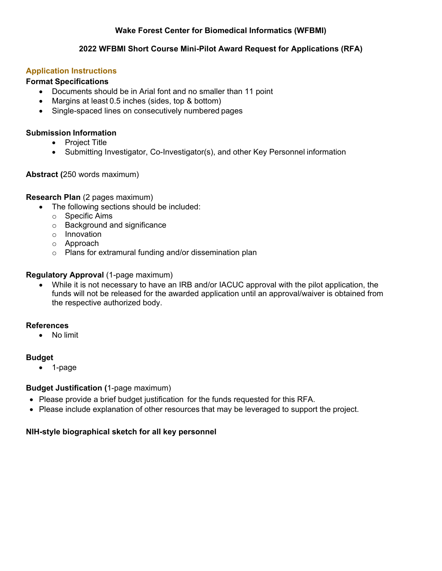# **Wake Forest Center for Biomedical Informatics (WFBMI)**

## **2022 WFBMI Short Course Mini-Pilot Award Request for Applications (RFA)**

## **Application Instructions**

## **Format Specifications**

- Documents should be in Arial font and no smaller than 11 point
	- Margins at least 0.5 inches (sides, top & bottom)
- Single-spaced lines on consecutively numbered pages

## **Submission Information**

- Project Title
- Submitting Investigator, Co-Investigator(s), and other Key Personnel information

# **Abstract (**250 words maximum)

## **Research Plan** (2 pages maximum)

- The following sections should be included:
	- o Specific Aims
	- o Background and significance
	- o Innovation
	- o Approach
	- o Plans for extramural funding and/or dissemination plan

## **Regulatory Approval** (1-page maximum)

• While it is not necessary to have an IRB and/or IACUC approval with the pilot application, the funds will not be released for the awarded application until an approval/waiver is obtained from the respective authorized body.

## **References**

• No limit

#### **Budget**

• 1-page

## **Budget Justification (**1-page maximum)

- Please provide a brief budget justification for the funds requested for this RFA.
- Please include explanation of other resources that may be leveraged to support the project.

## **NIH-style biographical sketch for all key personnel**